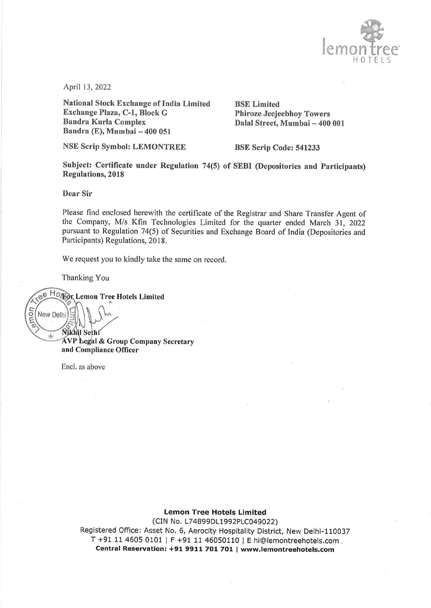

April 13, 2022

National Stock Exchange of India Limited BSE Limited Exchange Plaza, C-1, Block G<br>
Bandra Kurla Complex<br>
Dalal Street, Mumbai – 400 Bandra (E), Mumbai — 400 05]

NSE Scrip Symbol: LEMONTREE BSE Scrip Code: 541233

Dalal Street, Mumbai – 400 001

Subject: Certificate under Regulation 74(5) of SEBI (Depositories and Participants) Regulations, 2018

Dear Sir

Please find enclosed herewith the certificate of the Registrar and Share Transfer Agent of the Company, M/s Kfin Technologies Limited for the quarter ended March 31, 2022 pursuant to Regulation 74(5) of Securities and Exchange Board of India (Depositories and Participants) Regulations, 2018.

We request you to kindly take the same on record.

Thanking You

New Delhi

 $-\delta_{\rm P}$ 

ee Horgor Lemon Tree Hotels Limited amon

**Nikhil Sethi** AVP Legal & Group Company Secretary and Compliance Officer

Encl. as above

## Lemon Tree Hotels Limited

i-110037<br>s.com<br>**com** (CIN No. L74899DL1992PLC049022) Registered Office: Asset No. 6, Aerocity Hospitality District, New Delhi-110037 T +91 11 4605 0101 | F +91 11 46050110 | E hi@lemontreehotels.com . Central Reservation: +91 9911 701 701 | www.lemontreehotels.com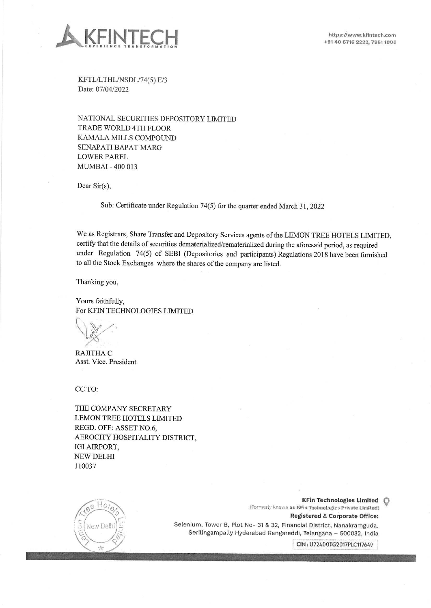

KFTL/LTHL/NSDL/74(5) E/3 Date: 07/04/2022

NATIONAL SECURITIES DEPOSITORY LIMITED TRADE WORLD 4TH FLOOR KAMALA MILLS COMPOUND SENAPATI BAPAT MARG LOWER PAREL MUMBAI - 400 013

Dear Sir(s),

Sub: Certificate under Regulation 74(5) for the quarter ended March 31, 2022

We as Registrars, Share Transfer and Depository Services agents of the LEMON TREE HOTELS LIMITED, certify that the details of securities dematerialized/rematerialized during the aforesaid period, as required under Regulation 74(5) of SEBI (Depositories and participants) Regulations 2018 have been furnished to all the Stock Exchanges where the shares of the company are listed. **EXERCISE CONFIDENTIAL SECTION SECTION SET AND ACCOUNT CONFIDENTIAL SECTION SECTION (SEE AND ACCOUNT CONFIDENTIAL SEE AND ACCOUNT CONFIDENTIAL SEE AND ACCOUNT CONFIDENTIAL SEE AND A SEE AND A SEE AND A SEE AND A SEE AND S** 

Thanking you,

Yours faithfully, For KFIN TECHNOLOGIES LIMITED

 $\vee$  d

RAJITHA C Asst. Vice. President

CC TO:

THE COMPANY SECRETARY LEMON TREE HOTELS LIMITED REGD. OFF: ASSET NO.6, AEROCITY HOSPITALITY DISTRICT, IGI AIRPORT, NEW DELHI 110037 Thanking you,<br>
Yours faithfully,<br>
For KFIN TECHNOLOGIES<br>
<br>
RAJITHA C<br>
Asst. Vice. President<br>
CC TO:<br>
THE COMPANY SECRETA<br>
LEMON TREE HOTELS LIN<br>
REGD. OFF: ASSET NO.6,<br>
AEROCITY HOSPITALITY<br>
IGI AIRPORT,<br>
NEW DELHI<br>
110037



KFin Technologies Limited (Formerly known as KFin Technologies Private Limited) Registered & Corporate Office: за)<br>**e:**<br>|ia<br>|

Selenium, Tower B, Plot No- 31 & 32, Financial District, Nanakramguda, Serilingampally Hyderabad Rangareddi, Telangana — 500032, India

\_ CIN: U72400TG2017PLC117649